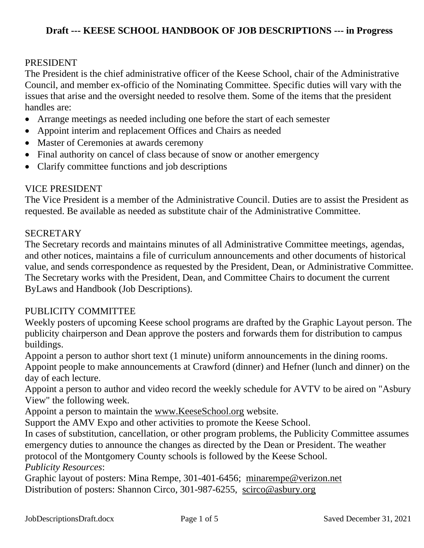#### PRESIDENT

The President is the chief administrative officer of the Keese School, chair of the Administrative Council, and member ex-officio of the Nominating Committee. Specific duties will vary with the issues that arise and the oversight needed to resolve them. Some of the items that the president handles are:

- Arrange meetings as needed including one before the start of each semester
- Appoint interim and replacement Offices and Chairs as needed
- Master of Ceremonies at awards ceremony
- Final authority on cancel of class because of snow or another emergency
- Clarify committee functions and job descriptions

### VICE PRESIDENT

The Vice President is a member of the Administrative Council. Duties are to assist the President as requested. Be available as needed as substitute chair of the Administrative Committee.

### SECRETARY

The Secretary records and maintains minutes of all Administrative Committee meetings, agendas, and other notices, maintains a file of curriculum announcements and other documents of historical value, and sends correspondence as requested by the President, Dean, or Administrative Committee. The Secretary works with the President, Dean, and Committee Chairs to document the current ByLaws and Handbook (Job Descriptions).

### PUBLICITY COMMITTEE

Weekly posters of upcoming Keese school programs are drafted by the Graphic Layout person. The publicity chairperson and Dean approve the posters and forwards them for distribution to campus buildings.

Appoint a person to author short text (1 minute) uniform announcements in the dining rooms.

Appoint people to make announcements at Crawford (dinner) and Hefner (lunch and dinner) on the day of each lecture.

Appoint a person to author and video record the weekly schedule for AVTV to be aired on "Asbury View" the following week.

Appoint a person to maintain the [www.KeeseSchool.org](http://www.keeseschool.org/) website.

Support the AMV Expo and other activities to promote the Keese School.

In cases of substitution, cancellation, or other program problems, the Publicity Committee assumes emergency duties to announce the changes as directed by the Dean or President. The weather protocol of the Montgomery County schools is followed by the Keese School.

*Publicity Resources*:

Graphic layout of posters: Mina Rempe, 301-401-6456; [minarempe@verizon.net](mailto:minarempe@verizon.net) Distribution of posters: Shannon Circo, 301-987-6255, [scirco@asbury.org](mailto:scirco@asbury.org)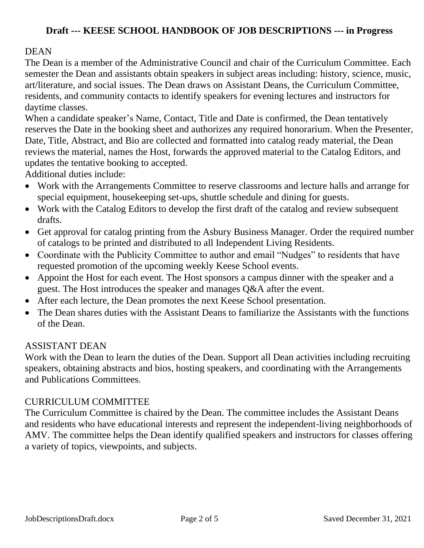### **DEAN**

The Dean is a member of the Administrative Council and chair of the Curriculum Committee. Each semester the Dean and assistants obtain speakers in subject areas including: history, science, music, art/literature, and social issues. The Dean draws on Assistant Deans, the Curriculum Committee, residents, and community contacts to identify speakers for evening lectures and instructors for daytime classes.

When a candidate speaker's Name, Contact, Title and Date is confirmed, the Dean tentatively reserves the Date in the booking sheet and authorizes any required honorarium. When the Presenter, Date, Title, Abstract, and Bio are collected and formatted into catalog ready material, the Dean reviews the material, names the Host, forwards the approved material to the Catalog Editors, and updates the tentative booking to accepted.

Additional duties include:

- Work with the Arrangements Committee to reserve classrooms and lecture halls and arrange for special equipment, housekeeping set-ups, shuttle schedule and dining for guests.
- Work with the Catalog Editors to develop the first draft of the catalog and review subsequent drafts.
- Get approval for catalog printing from the Asbury Business Manager. Order the required number of catalogs to be printed and distributed to all Independent Living Residents.
- Coordinate with the Publicity Committee to author and email "Nudges" to residents that have requested promotion of the upcoming weekly Keese School events.
- Appoint the Host for each event. The Host sponsors a campus dinner with the speaker and a guest. The Host introduces the speaker and manages Q&A after the event.
- After each lecture, the Dean promotes the next Keese School presentation.
- The Dean shares duties with the Assistant Deans to familiarize the Assistants with the functions of the Dean.

### ASSISTANT DEAN

Work with the Dean to learn the duties of the Dean. Support all Dean activities including recruiting speakers, obtaining abstracts and bios, hosting speakers, and coordinating with the Arrangements and Publications Committees.

#### CURRICULUM COMMITTEE

The Curriculum Committee is chaired by the Dean. The committee includes the Assistant Deans and residents who have educational interests and represent the independent-living neighborhoods of AMV. The committee helps the Dean identify qualified speakers and instructors for classes offering a variety of topics, viewpoints, and subjects.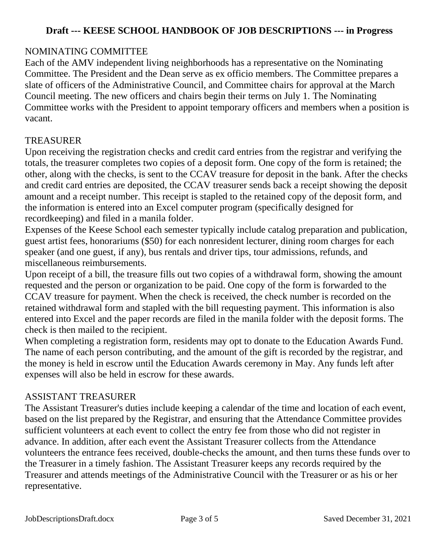# NOMINATING COMMITTEE

Each of the AMV independent living neighborhoods has a representative on the Nominating Committee. The President and the Dean serve as ex officio members. The Committee prepares a slate of officers of the Administrative Council, and Committee chairs for approval at the March Council meeting. The new officers and chairs begin their terms on July 1. The Nominating Committee works with the President to appoint temporary officers and members when a position is vacant.

### TREASURER

Upon receiving the registration checks and credit card entries from the registrar and verifying the totals, the treasurer completes two copies of a deposit form. One copy of the form is retained; the other, along with the checks, is sent to the CCAV treasure for deposit in the bank. After the checks and credit card entries are deposited, the CCAV treasurer sends back a receipt showing the deposit amount and a receipt number. This receipt is stapled to the retained copy of the deposit form, and the information is entered into an Excel computer program (specifically designed for recordkeeping) and filed in a manila folder.

Expenses of the Keese School each semester typically include catalog preparation and publication, guest artist fees, honorariums (\$50) for each nonresident lecturer, dining room charges for each speaker (and one guest, if any), bus rentals and driver tips, tour admissions, refunds, and miscellaneous reimbursements.

Upon receipt of a bill, the treasure fills out two copies of a withdrawal form, showing the amount requested and the person or organization to be paid. One copy of the form is forwarded to the CCAV treasure for payment. When the check is received, the check number is recorded on the retained withdrawal form and stapled with the bill requesting payment. This information is also entered into Excel and the paper records are filed in the manila folder with the deposit forms. The check is then mailed to the recipient.

When completing a registration form, residents may opt to donate to the Education Awards Fund. The name of each person contributing, and the amount of the gift is recorded by the registrar, and the money is held in escrow until the Education Awards ceremony in May. Any funds left after expenses will also be held in escrow for these awards.

### ASSISTANT TREASURER

The Assistant Treasurer's duties include keeping a calendar of the time and location of each event, based on the list prepared by the Registrar, and ensuring that the Attendance Committee provides sufficient volunteers at each event to collect the entry fee from those who did not register in advance. In addition, after each event the Assistant Treasurer collects from the Attendance volunteers the entrance fees received, double-checks the amount, and then turns these funds over to the Treasurer in a timely fashion. The Assistant Treasurer keeps any records required by the Treasurer and attends meetings of the Administrative Council with the Treasurer or as his or her representative.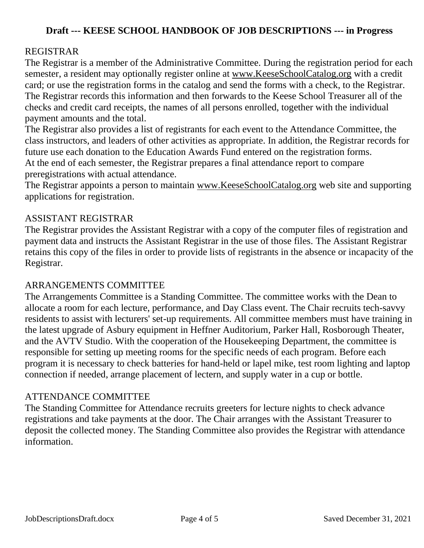## REGISTRAR

The Registrar is a member of the Administrative Committee. During the registration period for each semester, a resident may optionally register online at [www.KeeseSchoolCatalog.org](http://www.keeseschoolcatalog.org/) with a credit card; or use the registration forms in the catalog and send the forms with a check, to the Registrar. The Registrar records this information and then forwards to the Keese School Treasurer all of the checks and credit card receipts, the names of all persons enrolled, together with the individual payment amounts and the total.

The Registrar also provides a list of registrants for each event to the Attendance Committee, the class instructors, and leaders of other activities as appropriate. In addition, the Registrar records for future use each donation to the Education Awards Fund entered on the registration forms. At the end of each semester, the Registrar prepares a final attendance report to compare preregistrations with actual attendance.

The Registrar appoints a person to maintain [www.KeeseSchoolCatalog.org](http://www.keeseschoolcatalog.org/) web site and supporting applications for registration.

### ASSISTANT REGISTRAR

The Registrar provides the Assistant Registrar with a copy of the computer files of registration and payment data and instructs the Assistant Registrar in the use of those files. The Assistant Registrar retains this copy of the files in order to provide lists of registrants in the absence or incapacity of the Registrar.

### ARRANGEMENTS COMMITTEE

The Arrangements Committee is a Standing Committee. The committee works with the Dean to allocate a room for each lecture, performance, and Day Class event. The Chair recruits tech-savvy residents to assist with lecturers' set-up requirements. All committee members must have training in the latest upgrade of Asbury equipment in Heffner Auditorium, Parker Hall, Rosborough Theater, and the AVTV Studio. With the cooperation of the Housekeeping Department, the committee is responsible for setting up meeting rooms for the specific needs of each program. Before each program it is necessary to check batteries for hand-held or lapel mike, test room lighting and laptop connection if needed, arrange placement of lectern, and supply water in a cup or bottle.

### ATTENDANCE COMMITTEE

The Standing Committee for Attendance recruits greeters for lecture nights to check advance registrations and take payments at the door. The Chair arranges with the Assistant Treasurer to deposit the collected money. The Standing Committee also provides the Registrar with attendance information.